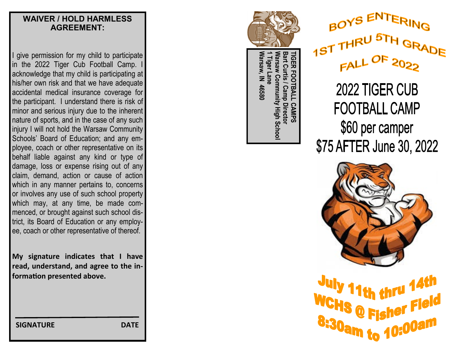#### **WAIVER / HOLD HARMLESS AGREEMENT:**

I give permission for my child to participate in the 2022 Tiger Cub Football Camp. I acknowledge that my child is participating at his/her own risk and that we have adequate accidental medical insurance coverage for the participant. I understand there is risk of minor and serious injury due to the inherent nature of sports, and in the case of any such injury I will not hold the Warsaw Community Schools' Board of Education; and any employee, coach or other representative on its behalf liable against any kind or type of damage, loss or expense rising out of any claim, demand, action or cause of action which in any manner pertains to, concerns or involves any use of such school property which may, at any time, be made commenced, or brought against such school district, its Board of Education or any employee, coach or other representative of thereof.

**My signature indicates that I have read, understand, and agree to the information presented above.**

 **SIGNATURE DATE**





TIGER **Warsaw, IN 46580 1 Tiger Lane Warsaw Community High School Bart Curtis / Camp Director TIGER FOOTBALL CAMPS Warsaw Community High Schoo** /arsaw, IN 46580 Tiger TBALL **Camp Director** CAMPS

2022 TIGER CUB **FOOTBALL CAMP** \$60 per camper \$75 AFTER June 30, 2022



11th thru 14th WCHS @ Fishel 8:30am to 10:00am